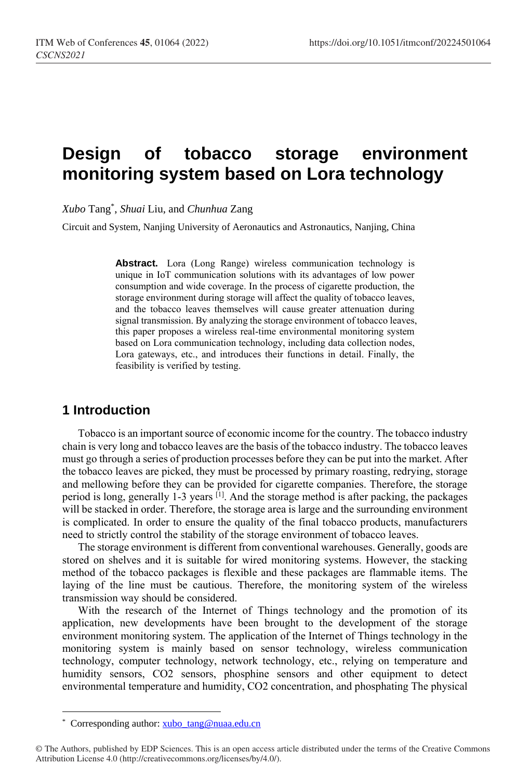# **Design of tobacco storage environment monitoring system based on Lora technology**

*Xubo* Tang\* , *Shuai* Liu, and *Chunhua* Zang

Circuit and System, Nanjing University of Aeronautics and Astronautics, Nanjing, China

**Abstract.** Lora (Long Range) wireless communication technology is unique in IoT communication solutions with its advantages of low power consumption and wide coverage. In the process of cigarette production, the storage environment during storage will affect the quality of tobacco leaves, and the tobacco leaves themselves will cause greater attenuation during signal transmission. By analyzing the storage environment of tobacco leaves, this paper proposes a wireless real-time environmental monitoring system based on Lora communication technology, including data collection nodes, Lora gateways, etc., and introduces their functions in detail. Finally, the feasibility is verified by testing.

## **1 Introduction**

Tobacco is an important source of economic income for the country. The tobacco industry chain is very long and tobacco leaves are the basis of the tobacco industry. The tobacco leaves must go through a series of production processes before they can be put into the market. After the tobacco leaves are picked, they must be processed by primary roasting, redrying, storage and mellowing before they can be provided for cigarette companies. Therefore, the storage period is long, generally 1-3 years <sup>[1]</sup>. And the storage method is after packing, the packages will be stacked in order. Therefore, the storage area is large and the surrounding environment is complicated. In order to ensure the quality of the final tobacco products, manufacturers need to strictly control the stability of the storage environment of tobacco leaves.

The storage environment is different from conventional warehouses. Generally, goods are stored on shelves and it is suitable for wired monitoring systems. However, the stacking method of the tobacco packages is flexible and these packages are flammable items. The laying of the line must be cautious. Therefore, the monitoring system of the wireless transmission way should be considered.

With the research of the Internet of Things technology and the promotion of its application, new developments have been brought to the development of the storage environment monitoring system. The application of the Internet of Things technology in the monitoring system is mainly based on sensor technology, wireless communication technology, computer technology, network technology, etc., relying on temperature and humidity sensors, CO2 sensors, phosphine sensors and other equipment to detect environmental temperature and humidity, CO2 concentration, and phosphating The physical

 $\overline{a}$ 

<sup>\*</sup> Corresponding author: [xubo\\_tang@nuaa.edu.cn](mailto:xubo_tang@nuaa.edu.cn)

<sup>©</sup> The Authors, published by EDP Sciences. This is an open access article distributed under the terms of the Creative Commons Attribution License 4.0 (http://creativecommons.org/licenses/by/4.0/).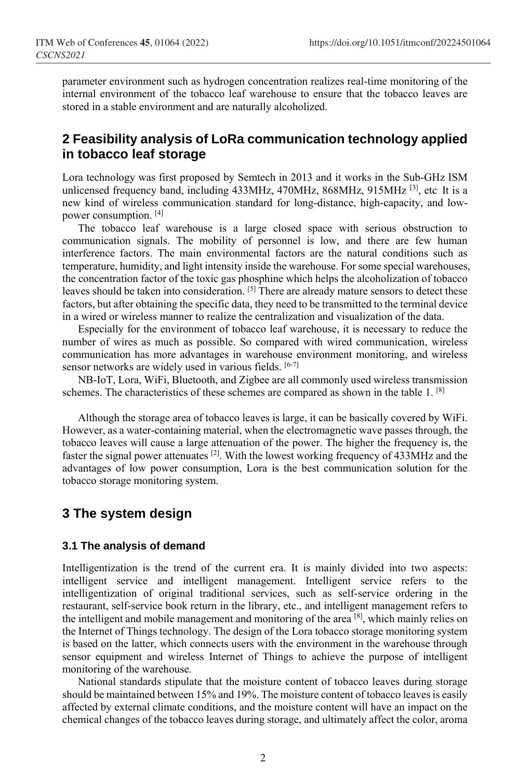parameter environment such as hydrogen concentration realizes real-time monitoring of the internal environment of the tobacco leaf warehouse to ensure that the tobacco leaves are stored in a stable environment and are naturally alcoholized.

## **2 Feasibility analysis of LoRa communication technology applied in tobacco leaf storage**

Lora technology was first proposed by Semtech in 2013 and it works in the Sub-GHz ISM unlicensed frequency band, including 433MHz, 470MHz, 868MHz, 915MHz <sup>[3]</sup>, etc It is a new kind of wireless communication standard for long-distance, high-capacity, and lowpower consumption. [4]

The tobacco leaf warehouse is a large closed space with serious obstruction to communication signals. The mobility of personnel is low, and there are few human interference factors. The main environmental factors are the natural conditions such as temperature, humidity, and light intensity inside the warehouse. For some special warehouses, the concentration factor of the toxic gas phosphine which helps the alcoholization of tobacco leaves should be taken into consideration. <sup>[5]</sup> There are already mature sensors to detect these factors, but after obtaining the specific data, they need to be transmitted to the terminal device in a wired or wireless manner to realize the centralization and visualization of the data.

Especially for the environment of tobacco leaf warehouse, it is necessary to reduce the number of wires as much as possible. So compared with wired communication, wireless communication has more advantages in warehouse environment monitoring, and wireless sensor networks are widely used in various fields. [6-7]

NB-IoT, Lora, WiFi, Bluetooth, and Zigbee are all commonly used wireless transmission schemes. The characteristics of these schemes are compared as shown in the table 1.  $[8]$ 

Although the storage area of tobacco leaves is large, it can be basically covered by WiFi. However, as a water-containing material, when the electromagnetic wave passes through, the tobacco leaves will cause a large attenuation of the power. The higher the frequency is, the faster the signal power attenuates  $^{[2]}$ . With the lowest working frequency of 433MHz and the advantages of low power consumption, Lora is the best communication solution for the tobacco storage monitoring system.

## **3 The system design**

#### **3.1 The analysis of demand**

Intelligentization is the trend of the current era. It is mainly divided into two aspects: intelligent service and intelligent management. Intelligent service refers to the intelligentization of original traditional services, such as self-service ordering in the restaurant, self-service book return in the library, etc., and intelligent management refers to the intelligent and mobile management and monitoring of the area [8], which mainly relies on the Internet of Things technology. The design of the Lora tobacco storage monitoring system is based on the latter, which connects users with the environment in the warehouse through sensor equipment and wireless Internet of Things to achieve the purpose of intelligent monitoring of the warehouse.

National standards stipulate that the moisture content of tobacco leaves during storage should be maintained between 15% and 19%. The moisture content of tobacco leaves is easily affected by external climate conditions, and the moisture content will have an impact on the chemical changes of the tobacco leaves during storage, and ultimately affect the color, aroma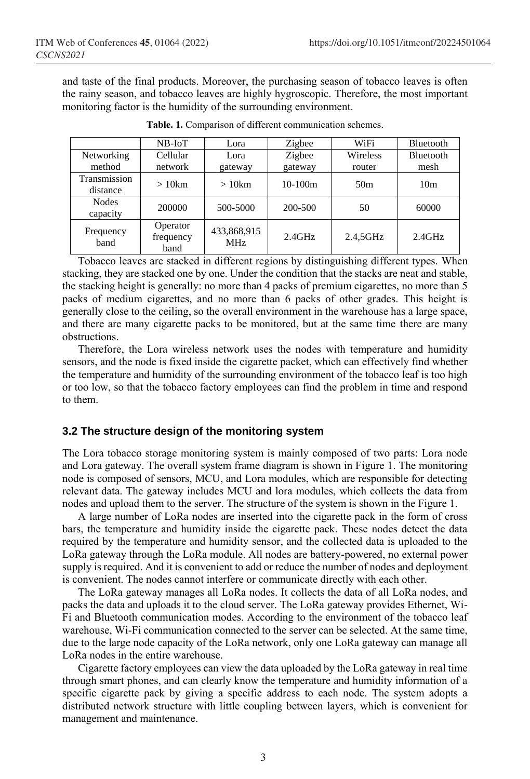and taste of the final products. Moreover, the purchasing season of tobacco leaves is often the rainy season, and tobacco leaves are highly hygroscopic. Therefore, the most important monitoring factor is the humidity of the surrounding environment.

|                          | $NB$ - $IoT$                  | Lora                      | Zigbee    | WiFi            | Bluetooth       |
|--------------------------|-------------------------------|---------------------------|-----------|-----------------|-----------------|
| Networking               | Cellular                      | Lora                      | Zigbee    | Wireless        | Bluetooth       |
| method                   | network                       | gateway                   | gateway   | router          | mesh            |
| Transmission<br>distance | $>10$ km                      | $>10$ km                  | $10-100m$ | 50 <sub>m</sub> | 10 <sub>m</sub> |
| <b>Nodes</b><br>capacity | 200000                        | 500-5000                  | 200-500   | 50              | 60000           |
| Frequency<br>band        | Operator<br>frequency<br>band | 433,868,915<br><b>MHz</b> | $2.4$ GHz | 2.4,5GHz        | $2.4$ GHz       |

**Table. 1.** Comparison of different communication schemes.

Tobacco leaves are stacked in different regions by distinguishing different types. When stacking, they are stacked one by one. Under the condition that the stacks are neat and stable, the stacking height is generally: no more than 4 packs of premium cigarettes, no more than 5 packs of medium cigarettes, and no more than 6 packs of other grades. This height is generally close to the ceiling, so the overall environment in the warehouse has a large space, and there are many cigarette packs to be monitored, but at the same time there are many obstructions.

Therefore, the Lora wireless network uses the nodes with temperature and humidity sensors, and the node is fixed inside the cigarette packet, which can effectively find whether the temperature and humidity of the surrounding environment of the tobacco leaf is too high or too low, so that the tobacco factory employees can find the problem in time and respond to them.

#### **3.2 The structure design of the monitoring system**

The Lora tobacco storage monitoring system is mainly composed of two parts: Lora node and Lora gateway. The overall system frame diagram is shown in Figure 1. The monitoring node is composed of sensors, MCU, and Lora modules, which are responsible for detecting relevant data. The gateway includes MCU and lora modules, which collects the data from nodes and upload them to the server. The structure of the system is shown in the Figure 1.

A large number of LoRa nodes are inserted into the cigarette pack in the form of cross bars, the temperature and humidity inside the cigarette pack. These nodes detect the data required by the temperature and humidity sensor, and the collected data is uploaded to the LoRa gateway through the LoRa module. All nodes are battery-powered, no external power supply is required. And it is convenient to add or reduce the number of nodes and deployment is convenient. The nodes cannot interfere or communicate directly with each other.

The LoRa gateway manages all LoRa nodes. It collects the data of all LoRa nodes, and packs the data and uploads it to the cloud server. The LoRa gateway provides Ethernet, Wi-Fi and Bluetooth communication modes. According to the environment of the tobacco leaf warehouse, Wi-Fi communication connected to the server can be selected. At the same time, due to the large node capacity of the LoRa network, only one LoRa gateway can manage all LoRa nodes in the entire warehouse.

Cigarette factory employees can view the data uploaded by the LoRa gateway in real time through smart phones, and can clearly know the temperature and humidity information of a specific cigarette pack by giving a specific address to each node. The system adopts a distributed network structure with little coupling between layers, which is convenient for management and maintenance.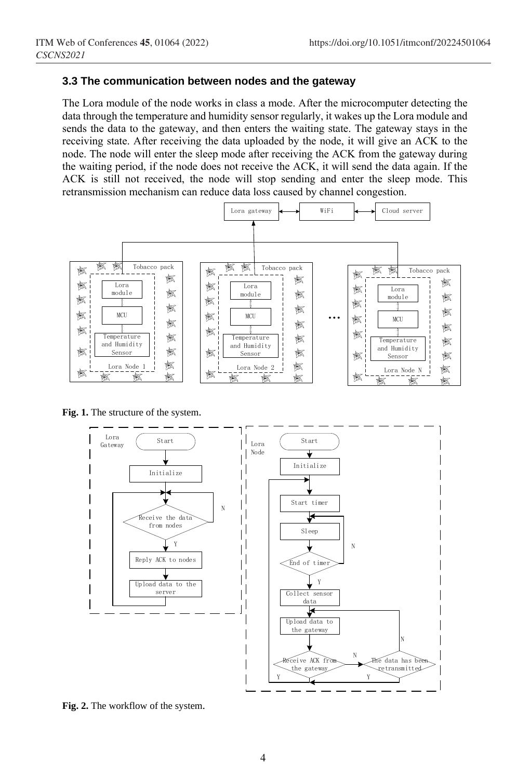#### **3.3 The communication between nodes and the gateway**

The Lora module of the node works in class a mode. After the microcomputer detecting the data through the temperature and humidity sensor regularly, it wakes up the Lora module and sends the data to the gateway, and then enters the waiting state. The gateway stays in the receiving state. After receiving the data uploaded by the node, it will give an ACK to the node. The node will enter the sleep mode after receiving the ACK from the gateway during the waiting period, if the node does not receive the ACK, it will send the data again. If the ACK is still not received, the node will stop sending and enter the sleep mode. This retransmission mechanism can reduce data loss caused by channel congestion.



**Fig. 1.** The structure of the system.



**Fig. 2.** The workflow of the system.